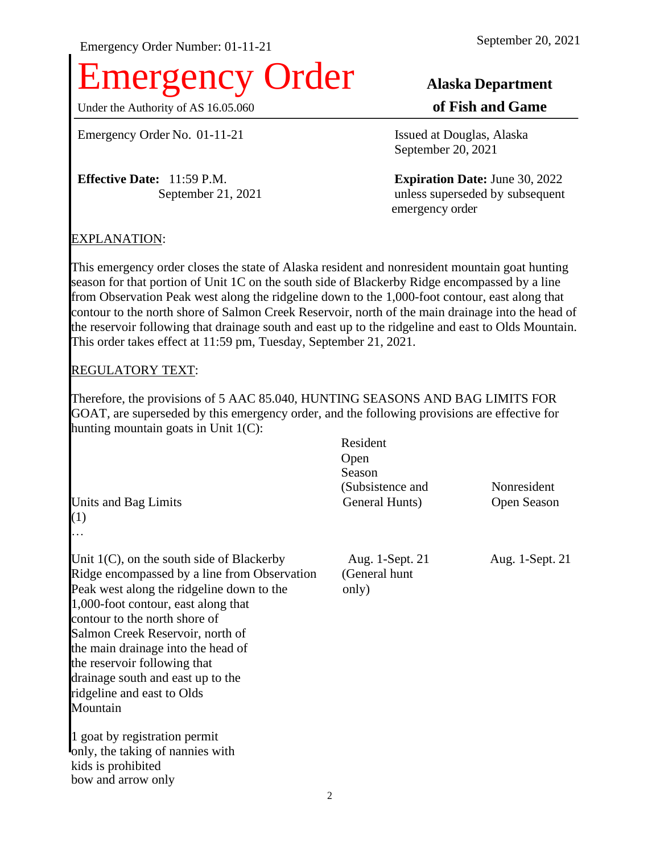# Emergency Order **Alaska Department**

Under the Authority of AS 16.05.060 **of Fish and Game** 

Emergency Order No. 01-11-21 Issued at Douglas, Alaska

**Effective Date:** 11:59 P.M. **Expiration Date:** June 30, 2022

September 20, 2021

September 21, 2021 unless superseded by subsequent emergency order

# EXPLANATION:

This emergency order closes the state of Alaska resident and nonresident mountain goat hunting season for that portion of Unit 1C on the south side of Blackerby Ridge encompassed by a line from Observation Peak west along the ridgeline down to the 1,000-foot contour, east along that contour to the north shore of Salmon Creek Reservoir, north of the main drainage into the head of the reservoir following that drainage south and east up to the ridgeline and east to Olds Mountain. This order takes effect at 11:59 pm, Tuesday, September 21, 2021.

### REGULATORY TEXT:

Therefore, the provisions of 5 AAC 85.040, HUNTING SEASONS AND BAG LIMITS FOR GOAT, are superseded by this emergency order, and the following provisions are effective for hunting mountain goats in Unit 1(C):  $R_{\text{max}}$ 

| Units and Bag Limits<br>(1)                                                                                                                                                                                                                                                                                                                                                                                     | Resident<br>Open<br>Season<br>(Subsistence and<br>General Hunts) | Nonresident<br>Open Season |
|-----------------------------------------------------------------------------------------------------------------------------------------------------------------------------------------------------------------------------------------------------------------------------------------------------------------------------------------------------------------------------------------------------------------|------------------------------------------------------------------|----------------------------|
| .<br>Unit $1(C)$ , on the south side of Blackerby<br>Ridge encompassed by a line from Observation<br>Peak west along the ridgeline down to the<br>1,000-foot contour, east along that<br>contour to the north shore of<br>Salmon Creek Reservoir, north of<br>the main drainage into the head of<br>the reservoir following that<br>drainage south and east up to the<br>ridgeline and east to Olds<br>Mountain | Aug. 1-Sept. 21<br>(General hunt<br>only)                        | Aug. 1-Sept. 21            |
| 1 goat by registration permit<br>only, the taking of nannies with<br>kids is prohibited<br>bow and arrow only                                                                                                                                                                                                                                                                                                   |                                                                  |                            |
|                                                                                                                                                                                                                                                                                                                                                                                                                 | 2                                                                |                            |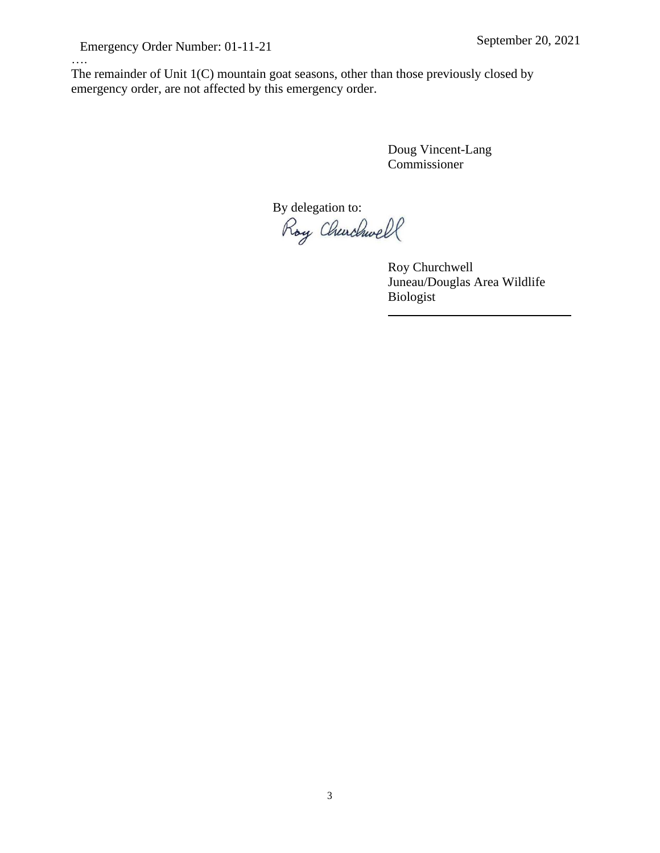….

The remainder of Unit 1(C) mountain goat seasons, other than those previously closed by emergency order, are not affected by this emergency order.

> Doug Vincent-Lang Commissioner

By delegation to:<br>Roy Churchwell

Roy Churchwell Juneau/Douglas Area Wildlife Biologist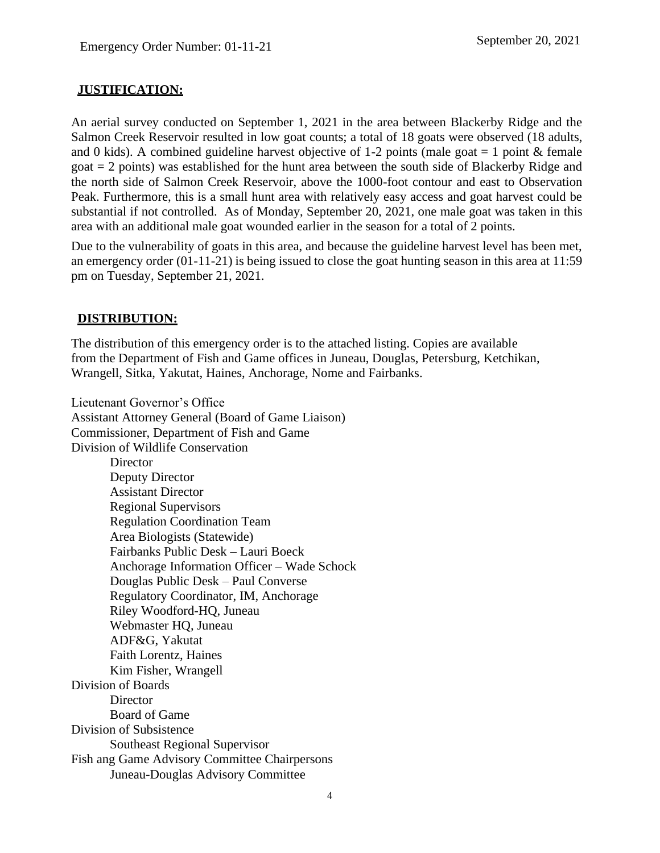# **JUSTIFICATION:**

An aerial survey conducted on September 1, 2021 in the area between Blackerby Ridge and the Salmon Creek Reservoir resulted in low goat counts; a total of 18 goats were observed (18 adults, and 0 kids). A combined guideline harvest objective of 1-2 points (male goat  $= 1$  point & female goat = 2 points) was established for the hunt area between the south side of Blackerby Ridge and the north side of Salmon Creek Reservoir, above the 1000-foot contour and east to Observation Peak. Furthermore, this is a small hunt area with relatively easy access and goat harvest could be substantial if not controlled. As of Monday, September 20, 2021, one male goat was taken in this area with an additional male goat wounded earlier in the season for a total of 2 points.

Due to the vulnerability of goats in this area, and because the guideline harvest level has been met, an emergency order (01-11-21) is being issued to close the goat hunting season in this area at 11:59 pm on Tuesday, September 21, 2021.

# **DISTRIBUTION:**

The distribution of this emergency order is to the attached listing. Copies are available from the Department of Fish and Game offices in Juneau, Douglas, Petersburg, Ketchikan, Wrangell, Sitka, Yakutat, Haines, Anchorage, Nome and Fairbanks.

Lieutenant Governor's Office Assistant Attorney General (Board of Game Liaison) Commissioner, Department of Fish and Game Division of Wildlife Conservation Director Deputy Director Assistant Director Regional Supervisors Regulation Coordination Team Area Biologists (Statewide) Fairbanks Public Desk – Lauri Boeck Anchorage Information Officer – Wade Schock Douglas Public Desk – Paul Converse Regulatory Coordinator, IM, Anchorage Riley Woodford-HQ, Juneau Webmaster HQ, Juneau ADF&G, Yakutat Faith Lorentz, Haines Kim Fisher, Wrangell Division of Boards **Director** Board of Game Division of Subsistence Southeast Regional Supervisor Fish ang Game Advisory Committee Chairpersons Juneau-Douglas Advisory Committee